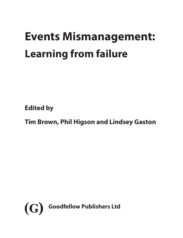# **Events Mismanagement: Learning from failure**

**Edited by**

**Tim Brown, Phil Higson and Lindsey Gaston**

<span id="page-0-0"></span>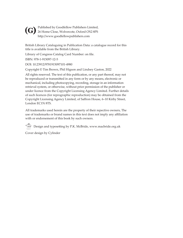<span id="page-1-0"></span>Published by Goodfellow Publishers Limited, 26 Home Close, Wolvercote, Oxford OX2 8PS **(G)**http://www.goodfellowpublishers.com

British Library Cataloguing in Publication Data: a catalogue record for this title is available from the British Library.

Library of Congress Catalog Card Number: on file.

ISBN: 978-1-915097-12-5

DOI: 10.23912/9781915097101-4980

Copyright © Tim Brown, Phil Higson and Lindsey Gaston, 2022

All rights reserved. The text of this publication, or any part thereof, may not be reproduced or transmitted in any form or by any means, electronic or mechanical, including photocopying, recording, storage in an information retrieval system, or otherwise, without prior permission of the publisher or under licence from the Copyright Licensing Agency Limited. Further details of such licences (for reprographic reproduction) may be obtained from the Copyright Licensing Agency Limited, of Saffron House, 6–10 Kirby Street, London EC1N 8TS.

All trademarks used herein are the property of their repective owners, The use of trademarks or brand names in this text does not imply any affiliation with or endorsement of this book by such owners.

Design and typesetting by P.K. McBride, www.macbride.org.uk

Cover design by Cylinder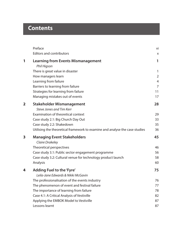## <span id="page-2-0"></span>**Contents**

|                | Preface                                                                     | vi             |
|----------------|-----------------------------------------------------------------------------|----------------|
|                | <b>Editors and contributors</b>                                             | X              |
| 1              | <b>Learning from Events Mismanagement</b><br>Phil Higson                    | 1              |
|                | There is great value in disaster                                            | $\mathbf{1}$   |
|                | How managers learn                                                          | $\overline{2}$ |
|                | Learning from failure                                                       | $\overline{4}$ |
|                | Barriers to learning from failure                                           | 7              |
|                | Strategies for learning from failure                                        | 11             |
|                | Managing mistakes out of events                                             | 17             |
| $\overline{2}$ | <b>Stakeholder Mismanagement</b><br>Steve Jones and Tim Kerr                | 28             |
|                | Examination of theoretical context                                          | 29             |
|                | Case study 2.1: Big Church Day Out                                          | 33             |
|                | Case study 2.2: Shakedown                                                   | 35             |
|                | Utilising the theoretical framework to examine and analyse the case studies | 36             |
| 3              | <b>Managing Event Stakeholders</b><br><b>Claire Drakeley</b>                | 45             |
|                | Theoretical perspectives                                                    | 46             |
|                | Case study 3.1: Public sector engagement programme                          | 56             |
|                | Case study 3.2: Cultural venue for technology product launch                | 58             |
|                | Analysis                                                                    | 60             |
| 4              | Adding Fuel to the 'Fyre'<br>Leila-Jane Edwards & Nikki McGavin             | 75             |
|                | The professionalisation of the events industry                              | 76             |
|                | The phenomenon of event and festival failure                                | 77             |
|                | The importance of learning from failure                                     | 78             |
|                | Case 4.1: A Critical Analysis of Vestiville                                 | 82             |
|                | Applying the EMBOK Model to Vestiville                                      | 87             |
|                | Lessons learnt                                                              | 87             |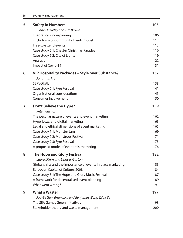<span id="page-3-0"></span>

| 5 | <b>Safety in Numbers</b>                                                                        | 105        |
|---|-------------------------------------------------------------------------------------------------|------------|
|   | Claire Drakeley and Tim Brown<br>Theoretical underpinning                                       | 106        |
|   | Trichotomy of Community Events model                                                            | 112        |
|   | Free-to-attend events                                                                           | 113        |
|   | Case study 5.1: Chester Christmas Parades                                                       | 116        |
|   | Case study 5.2: City of Lights                                                                  | 119        |
|   | Analysis                                                                                        | 122        |
|   | Impact of Covid-19                                                                              | 131        |
| 6 | VIP Hospitality Packages - Style over Substance?<br>Jonathan Fry                                | 137        |
|   | SERVQUAL                                                                                        | 138        |
|   | Case study 6.1: Fyre Festival                                                                   | 141        |
|   | Organisational considerations                                                                   | 145        |
|   | Consumer involvement                                                                            | 150        |
| 7 | Don't Believe the Hype?<br>Peter Vlachos                                                        | 159        |
|   | The peculiar nature of events and event marketing                                               | 162        |
|   | Hype, buzz, and digital marketing                                                               | 163        |
|   | Legal and ethical dimensions of event marketing                                                 | 165        |
|   | Case study 7.1: Monster Jam                                                                     | 169        |
|   | Case study 7.2: Monstrous Festival                                                              | 171        |
|   | Case study 7.3: Fyre Festival                                                                   | 175        |
|   | A proposed model of event mis-marketing                                                         | 176        |
| 8 | <b>The Hope and Glory Festival</b>                                                              | 182        |
|   | Laura Dixon and Lindsey Gaston<br>Global shifts and the importance of events in place marketing |            |
|   | European Capital of Culture, 2008                                                               | 183<br>184 |
|   | Case study 8.1: The Hope and Glory Music Festival                                               | 187        |
|   | A framework for decentralised event planning                                                    | 189        |
|   | What went wrong?                                                                                | 191        |
| 9 | <b>What a Waste!</b>                                                                            | 197        |
|   | Joo-Ee Gan, Brian Low and Benjamin Wong Tziak Ze                                                |            |
|   | The SEA Games Green Initiatives                                                                 | 198        |
|   | Stakeholder theory and waste management                                                         | 200        |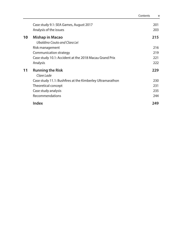<span id="page-4-0"></span>

|    |                                                           | Contents | $\mathbf v$ |
|----|-----------------------------------------------------------|----------|-------------|
|    | Case study 9.1: SEA Games, August 2017                    |          | 201         |
|    | Analysis of the issues                                    |          | 203         |
| 10 | <b>Mishap in Macao</b><br>Ubaldino Couto and Clara Lei    |          | 215         |
|    | Risk management                                           |          | 216         |
|    | Communication strategy                                    |          | 219         |
|    | Case study 10.1: Accident at the 2018 Macau Grand Prix    |          | 221         |
|    | Analysis                                                  |          | 222         |
| 11 | <b>Running the Risk</b><br>Clare Lade                     |          | 229         |
|    | Case study 11.1: Bushfires at the Kimberley Ultramarathon |          | 230         |
|    | Theoretical concept                                       |          | 231         |
|    | Case study analysis                                       |          | 235         |
|    | Recommendations                                           |          | 244         |
|    | <b>Index</b>                                              |          | 249         |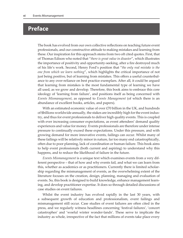## <span id="page-5-0"></span>**Preface**

The book has evolved from our own collective reflections on teaching future event professionals, and our constructive attitude to making mistakes and learning from these. Our inspiration for this approach stems from two oft cited quotes. First, that of Thomas Edison who noted that "*there is great value in disaster*", which illustrates the importance of positivity and opportunity-seeking, after a fire destroyed much of his life's work. Second, Henry Ford's position that "*the only real mistake is the one from which we learn nothing*", which highlights the critical importance of not just being positive, but of learning from mistakes. This offers a useful counterbalance to any over-reliance on best practice exemplars. After all, it could be argued that learning from mistakes is the most fundamental type of learning we have all used, as we grow and develop. Therefore, this book aims to embrace this core ideology of 'learning from failure', and positions itself as being concerned with *Events Mismanagement*, as opposed to *Events Management* (of which there is an abundance of excellent books, articles, and papers).

With an estimated economic value of over £70 billion in the UK, and hundreds of \$billions worldwide annually, the stakes are incredibly high for the event industry, and thus for event professionals to deliver high quality events. This is coupled with ever increasing consumer expectations, as event attendees' demand quality experiences and value for money. Events professionals are therefore under intense pressure to continually exceed these expectations. Under this pressure, and with growing demand for more innovative events, failings can occur. Whilst many of these failings will be relatively minor in nature, far too many end catastrophically, often due to poor planning, lack of coordination or human failure. This book aims to help event professionals (both current and aspiring) to understand why this happens, and to reduce the likelihood of failure in the future.

*Events Mismanagement* is a unique text which examines events from a very different perspective – that of how and why events fail, and what we can learn from this, whether as academics or as practitioners. Currently there is limited scholarship regarding the mismanagement of events, as the overwhelming extent of the literature focuses on the creation, design, planning, managing and evaluation of events. So, this book is designed to build knowledge, enhance management learning, and develop practitioner expertise. It does so through detailed discussions of case studies on event failures.

Whilst the event industry has evolved rapidly in the last 30 years, with a subsequent growth of education and professionalism, event failings and mismanagement still occur. Case studies of event failures are often cited in the press, and we regularly witness headlines concerning 'festival failures', 'concert catastrophes' and 'woeful winter wonder-lands'. These serve to implicate the industry as whole, irrespective of the fact that millions of events take place every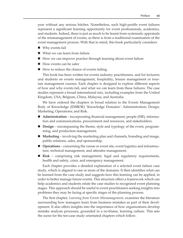<span id="page-6-0"></span>year without any serious hitches. Nonetheless, such high-profile event failures represent a significant learning opportunity for event professionals, academics, and students. Indeed, there is just as much to be learnt from systematic appraisals of the mismanagement of events, as there is from a traditional examination of the event management process. With that in mind, this book particularly considers:

- Why events fail
- What we can learn from failure
- $\blacksquare$  How we can improve practice through learning about event failure
- $\blacksquare$  How events can be safer
- How to reduce the chance of events failing.

This book has been written for events industry practitioners, and for lecturers and students on events management, hospitality, leisure management or tourism management courses. Each chapter is designed to explore different aspects of how and why events fail, and what we can learn from these failures. The case studies represent a broad international mix, including examples from the United Kingdom, USA, Belgium, China, Malaysia, and Australia.

We have ordered the chapters in broad relation to the Events Management Body of Knowledge (EMBOK) 'Knowledge Domains': Administration; Design; Marketing; Operations; and Risk.

- **Administration** incorporating financial management, people (HR), information and communications, procurement and resources, and stakeholders.
- **Design** encompassing the theme, style and typology of the event, programming, and production management.
- **Marketing** involving the marketing plan and channels, branding and image, public relations, sales, and sponsorship.
- **Operations** concerning the venue or event site, event logistics and infrastructure, technical management, and attendee management.
- **Risk** comprising risk management, legal and regulatory requirements, health and safety, crisis, and emergency management.

Each chapter provides a detailed explanation of a selected event failure case study, which is aligned to one or more of the domains. It then identifies what can be learned from the case study and suggests how this learning can be applied, in order to better manage future events. This structure offers a framework which can help academics and students relate the case studies to recognised event planning stages. This approach should be useful to event practitioners seeking insights into problems they may be facing at specific stages of the planning process.

The first chapter, *Learning from Events Mismanagement,* examines the literature surrounding how managers learn from business mistakes as part of their development. It also offers insights into the importance of how organizations develop mistake analysis processes, grounded in a no-blame, learning culture. This sets the scene for the ten-case study orientated chapters which follow.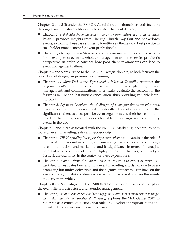<span id="page-7-0"></span>Chapters 2 and 3 fit under the EMBOK 'Administration' domain, as both focus on the engagement of stakeholders which is critical to event delivery.

- Chapter 2, *Stakeholder Mismanagement: Learning from failure at two major music festivals*, provides insights from The Big Church Day Out and Shakedown events, exploring these case studies to identify key themes and best practice in stakeholder management for event professionals.
- Chapter 3, *Managing Event Stakeholders: Expect the unexpected*, explores two different examples of event stakeholder management from the service provider's perspective, in order to consider how poor client relationships can lead to event management failure.

Chapters 4 and 5 are aligned to the EMBOK 'Design' domain, as both focus on the overall event design, programme and planning.

- Chapter 4, *Adding Fuel to the 'Fyre': leaving it late at Vestiville*, examines the Belgian event's failure to explore issues around event planning, project management, and communications, to critically evaluate the reasons for the festival's failure and last-minute cancellation, thus providing valuable learning points.
- Chapter 5, *Safety in Numbers: the challenges of managing free-to-attend events,* investigates the under-researched free-to-attend events context, and the significant challenges these pose for event organizers and their host communities. The chapter explores the lessons learnt from two large scale community events in the UK.

Chapters 6 and 7 are associated with the EMBOK 'Marketing' domain, as both focus on event marketing, sales and sponsorship.

- Chapter 6, *VIP Hospitality Packages: Style over substance?,* examines the role of the event professional in setting and managing event expectations through its communications and marketing, and its significance in terms of managing potential service and event failure. High profile event failures, such as Fyre Festival, are examined in the context of these expectations.
- Chapter 7, *Don't Believe the Hype: Concepts, causes, and effects of event mismarketing,* investigates how and why event marketing efforts fail due to overpromising but under-delivering, and the negative impact this can have on the event's brand, on stakeholders associated with the event, and on the events industry more widely.

Chapters 8 and 9 are aligned to the EMBOK 'Operations' domain, as both explore the event site, infrastructure, and attendee management.

■ Chapter 8, *What a Waste! Stakeholder engagement and sports event waste management: An analysis on operational efficiency*, explores the SEA Games 2017 in Malaysia as a critical case study that failed to develop appropriate plans and infrastructure for successful event delivery.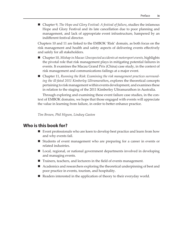<span id="page-8-0"></span>■ Chapter 9, *The Hope and Glory Festival: A festival of failure*, studies the infamous Hope and Glory Festival and its late cancellation due to poor planning and management, and lack of appropriate event infrastructure, hampered by an indifferent festival director.

Chapters 10 and 11 are linked to the EMBOK 'Risk' domain, as both focus on the risk management and health and safety aspects of delivering events effectively and safely for all stakeholders.

- Chapter 10, *Mishap in Macao: Unexpected accidents at motorsport events,* highlights the pivotal role that risk management plays in mitigating potential failures in events. It examines the Macau Grand Prix (China) case study, in the context of risk management and communications failings at a major event.
- Chapter 11, *Running the Risk: Examining the risk management practices surrounding the ill-fated 2011 Kimberley Ultramarathon***,** explores the theoretical concepts pertaining to risk management within events development, and examines these in relation to the staging of the 2011 Kimberley Ultramarathon in Australia.

Through exploring and examining these event failure case studies, in the context of EMBOK domains, we hope that those engaged with events will appreciate the value in learning from failure, in order to better enhance practice.

*Tim Brown, Phil Higson, Lindsey Gaston*

#### **Who is this book for?**

- Event professionals who are keen to develop best practice and learn from how and why events fail.
- Students of event management who are preparing for a career in events or related industries.
- Local, regional, or national government departments involved in developing and managing events.
- Trainers, teachers, and lecturers in the field of events management.
- Academics and researchers exploring the theoretical underpinning of best and poor practice in events, tourism, and hospitality.
- Readers interested in the application of theory to their everyday world.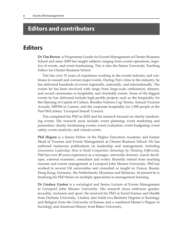## <span id="page-9-0"></span>**Editors and contributors**

## **Editors**

**Dr Tim Brown** is Programme Leader for Events Management at Chester Business School and since 2009 has taught subjects ranging from events operations, logistics of events, and event fundraising. Tim is also the Senior University Teaching Fellow for Chester Business School.

Tim has over 15 years of experience working in the events industry and continues to consult and oversee major events. During Tim's time in the industry, he has delivered hundreds of events regionally, nationally, and internationally. The events he has been involved with range from large-scale conferences, dinners, and award ceremonies to hospitality and charitable events. Some of the biggest events he has delivered include high-profile projects such as the hospitality for the Opening of Capital of Culture, Boodles Nations Cup Tennis, Annual Tourism Awards, MIPIM in Cannes, and the corporate hospitality for 1,500 people at the Paul McCartney 'Liverpool Sound' Concert.

Tim completed his PhD in 2018 and his research focused on charity fundraising events. His research areas include: event planning; event marketing and promotion; charity fundraising events; event evaluation; event budgeting; event safety; event creativity; and virtual events.

**Phil Higson** is a Senior Fellow of the Higher Education Academy and former Head of Tourism and Events Management at Chester Business School. He has authored numerous publications on leadership and management, including *Uncommon Leadership: How to Build Competitive Advantage by Thinking Differently*. Phil has over 40 years experience as a manager, university lecturer, course developer, external examiner, consultant and writer. Recently retired from teaching tourism and events management at Liverpool John Moores University, Phil has worked in several UK universities and consulted or taught in: France, Russia, Hong Kong, Germany, the Netherlands, Myanmar and Malaysia. At present he is finalising his PhD thesis on multiple approaches to management learning.

**Dr Lindsey Gaston** is a sociologist and Senior Lecture of Events Management at Liverpool John Moores University. His research focus embraces gender, sexuality, inclusion and sport. He received his PhD in Social Science and Health from Durham University. Lindsey also holds two Bachelor Degrees is Sociology and Religion from the University of Kansas and a combined Master's Degree in Sociology and American History from Baker University.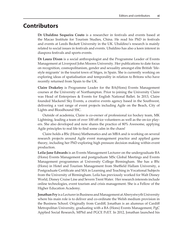## <span id="page-10-0"></span>**Contributors**

**Dr Ubaldino Sequeira Couto** is a researcher in festivals and events based at the Macao Institute for Tourism Studies, China. He read his PhD in festivals and events at Leeds Beckett University in the UK. Ubaldino's research is mainly related to social issues in festivals and events. Ubaldino has also a keen interest in diaspora festivals and sports events.

**Dr Laura Dixon** is a social anthropologist and the Programme Leader of Events Management at Liverpool John Moores University. Her publications to date focus on recognition, cosmopolitanism, gender and sexuality amongst elite British 'lifestyle migrants' in the tourist town of Sitges, in Spain. She is currently working on exploring ideas of spatialisation and temporality in relation to Britons who have recently returned from Spain to the UK.

**Claire Drakeley** is Programme Leader for the BA(Hons) Events Management courses at the University of Northampton. Prior to joining the University Claire was Head of Enterprises & Events for English National Ballet. In 2013, Claire founded Mackerel Sky Events, a creative events agency based in the Southwest, delivering a vast range of event projects including Agile on the Beach, City of Lights and Bloodhound SSC.

Outside of academia, Claire is co-owner of professional ice hockey team, MK Lightning, leading a team of over 100 off-ice volunteers as well as the on-ice players. She also developed and now shares the practice of 80% Awesome, applying Agile principles to real life to find some calm in the chaos!

Claire holds a BSc (Hons) Mathematics and an MBA and is working on several research projects around Agile event management practice and applied game theory, including her PhD exploring high pressure decision making within event production.

**Leila-Jane Edwards** is an Events Management Lecturer on the undergraduate BA (Hons) Events Management and postgraduate MSc Global Meetings and Events Management programmes at University College Birmingham. She has a BSc (Hons) in Hotel and Tourism Management from Sheffield Hallam University, a Postgraduate Certificate and MA in Learning and Teaching in Vocational Subjects from the University of Birmingham. Leila has previously worked for Walt Disney World, Disney Cruise Line and Severn Trent Water. Her research interests include online technologies, event tourism and crisis management. She is a Fellow of the Higher Education Academy.

**Jonathan Fry** is a Lecturer in Business and Management at Aberystwyth University where his main role is to deliver and co-ordinate the Welsh medium provision in the Business School. Originally from Cardiff, Jonathan is an alumnus of Cardiff Metropolitan University, graduating with a BA (Hons) Events Management, PgC Applied Social Research, MPhil and PGCE PcET. In 2012, Jonathan launched his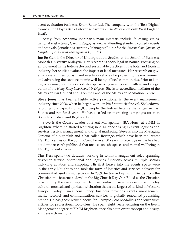<span id="page-11-0"></span>event evaluation business, Event Rater Ltd. The company won the 'Best Digital' award at the Lloyds Bank Enterprise Awards 2014 (Wales and South West England Heat).

Away from academia Jonathan's main interests include following Wales' national rugby team, Cardiff Rugby as well as attending stand-up comedy events and festivals. Jonathan is currently Managing Editor for the *International Journal of Hospitality and Event Management* (IJHEM).

**Joo-Ee Gan** is the Director of Undergraduate Studies at the School of Business, Monash University Malaysia. Her research is socio-legal in nature. Focusing on employment in the hotel sector and sustainable practices in the hotel and tourism industry, her studies evaluate the impact of legal measures. Her research on governance examines tourism and events as vehicles for protecting the environment and advancing the socio-economic well-being of local communities. Prior to joining academia, Joo-Ee was a solicitor specializing in corporate matters, and a legal editor of the *Hong Kong Law Report & Digests*. She is an accredited mediator of the Malaysian Bar Council and is on the Panel of the Malaysian Mediation Centre.

**Steve Jones** has been a highly active practitioner in the event management industry since 2008, when he began work on his first music festival, Shakedown. Growing to a capacity of 20,000 people, the festival became the largest in East Sussex and ran for 5 years. He has also led on marketing campaigns for both Boundary festival and Brighton Pride.

Steve is the Course Leader of Event Management (BA Hons) at BIMM in Brighton, where he started lecturing in 2014, specialising in event logistics and services, festival management, and digital marketing. Steve is also the Managing Director of a nightclub and a bar called Revenge, which have been the largest LGBTQ+ venues on the South Coast for over 30 years. In recent years, he has had academic research published that focuses on safe spaces and mental wellbeing in LGBTQ+ event spaces.

**Tim Kerr** spent two decades working in senior management roles spanning customer service, operational and logistics functions across multiple sectors including aviation and shipping. His first forays into the events space were in the early Noughties and took the form of logistics and services delivery for community-based music festivals. In 2009, he teamed up with friends from the Christian music scene to develop the Big Church Day Out. Billed as the Christian Glastonbury, the event has grown from a one-day music showcase into a four-day cultural, musical, and spiritual celebration that is the largest of its kind in Western Europe. Today, Tim's consultancy business provides events management, market research and communications services to globally renowned publishing brands. He has ghost written books for Olympic Gold Medallists and journalism articles for professional footballers. He spent eight years lecturing on the Event Management degree at BIMM Brighton, specialising in event concept and design and research methods.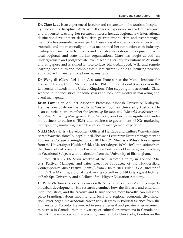<span id="page-12-0"></span>**Dr. Clare Lade** is an experienced lecturer and researcher in the tourism, hospitality, and events discipline. With over 20 years of experience in academic research and university teaching, her research interests include regional and international destination development, dark tourism, gastronomic tourism, and event management. She has presented as an expert in these areas at academic conferences within Australia and internationally and has maintained her connection with industry, leading tourism research projects and industry workshops in conjunction with local, regional, and state tourism organisations. Clare has taught at both an undergraduate and postgraduate level at leading tertiary institutions in Australia and Singapore and is skilled in face-to-face, blended/flipped, WIL, and remote learning techniques and technologies. Clare currently holds a lecturing position at La Trobe University in Melbourne, Australia.

**Dr Weng Si (Clara) Lei** is an Assistant Professor at the Macao Institute for Tourism Studies, China. She received her PhD in International Business from the University of Leeds in the United Kingdom. Prior stepping into academia, Clara worked in the industries for some years and took part mostly in marketing and event management.

**Brian Low** is an Adjunct Associate Professor, Monash University, Malaysia. He was previously on the faculty at Western Sydney University, Australia. He is an editorial board member the *Journal of Business and Industrial Marketing* and *Industrial Marketing Management*. Brian's background includes significant handson business-to-business (B2B) and business-to-government (B2G) marketing management, marketing research and policy management experience.

**Nikki McGavin** is a Development Officer at Heritage and Culture Warwickshire, part of Warwickshire County Council. She was a Lecturer in Events Management at University College Birmingham from 2014 to 2021. She has a BMus (Hons) degree from the University of Huddersfield, a Master's degree in Music Composition from the University of Sussex and a Postgraduate Certificate of Learning and Teaching in Vocational Subjects with distinction from the University of Birmingham.

From 2004 - 2006 Nikki worked at the Barbican Centre, in London. She was Festival Manager, and later Executive Producer, of the Huddersfield Contemporary Music Festival (hcmf//) from 2006 to 2014. Nikki is Co-Director of Out Of The Machine, a global creative arts consultancy. Nikki is a guest lecturer at Bath Spa University and a Fellow of the Higher Education Academy.

**Dr Peter Vlachos's** expertise focuses on the 'experience economy' and its impacts on urban development. His research examines how the live arts and entertainment industries, and the creative and leisure sectors more broadly, can influence place branding, labour mobility, and local and regional economic diversification. Peter began his academic career with degrees in Political Science from the University of Toronto. He worked in several federal and provincial government ministries in Canada, then in a variety of cultural organisations in Canada and the UK. He embarked on his teaching career at City University, London on the